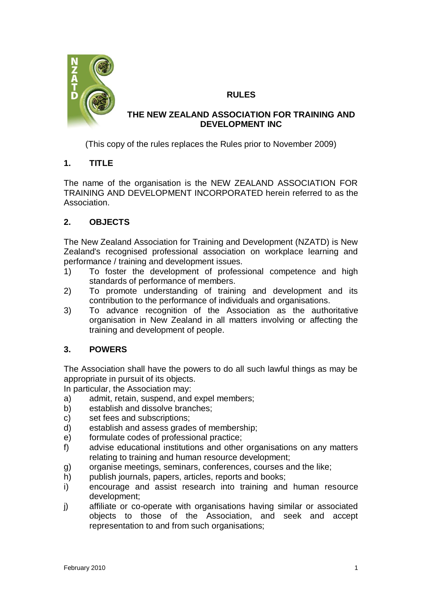

## **RULES**

### **THE NEW ZEALAND ASSOCIATION FOR TRAINING AND DEVELOPMENT INC**

(This copy of the rules replaces the Rules prior to November 2009)

## **1. TITLE**

The name of the organisation is the NEW ZEALAND ASSOCIATION FOR TRAINING AND DEVELOPMENT INCORPORATED herein referred to as the Association.

## **2. OBJECTS**

The New Zealand Association for Training and Development (NZATD) is New Zealand's recognised professional association on workplace learning and performance / training and development issues.

- 1) To foster the development of professional competence and high standards of performance of members.
- 2) To promote understanding of training and development and its contribution to the performance of individuals and organisations.
- 3) To advance recognition of the Association as the authoritative organisation in New Zealand in all matters involving or affecting the training and development of people.

# **3. POWERS**

The Association shall have the powers to do all such lawful things as may be appropriate in pursuit of its objects.

In particular, the Association may:

- a) admit, retain, suspend, and expel members;
- b) establish and dissolve branches;
- c) set fees and subscriptions;
- d) establish and assess grades of membership;
- e) formulate codes of professional practice;
- f) advise educational institutions and other organisations on any matters relating to training and human resource development;
- g) organise meetings, seminars, conferences, courses and the like;
- h) publish journals, papers, articles, reports and books;
- i) encourage and assist research into training and human resource development;
- j) affiliate or co-operate with organisations having similar or associated objects to those of the Association, and seek and accept representation to and from such organisations;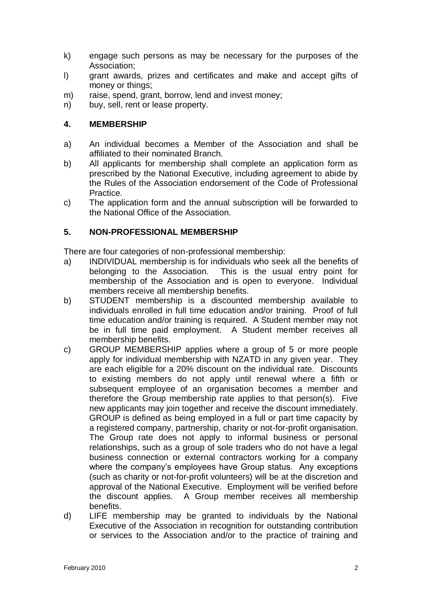- k) engage such persons as may be necessary for the purposes of the Association;
- l) grant awards, prizes and certificates and make and accept gifts of money or things;
- m) raise, spend, grant, borrow, lend and invest money;
- n) buy, sell, rent or lease property.

### **4. MEMBERSHIP**

- a) An individual becomes a Member of the Association and shall be affiliated to their nominated Branch.
- b) All applicants for membership shall complete an application form as prescribed by the National Executive, including agreement to abide by the Rules of the Association endorsement of the Code of Professional Practice.
- c) The application form and the annual subscription will be forwarded to the National Office of the Association.

### **5. NON-PROFESSIONAL MEMBERSHIP**

There are four categories of non-professional membership:

- a) INDIVIDUAL membership is for individuals who seek all the benefits of belonging to the Association. This is the usual entry point for membership of the Association and is open to everyone. Individual members receive all membership benefits.
- b) STUDENT membership is a discounted membership available to individuals enrolled in full time education and/or training. Proof of full time education and/or training is required. A Student member may not be in full time paid employment. A Student member receives all membership benefits.
- c) GROUP MEMBERSHIP applies where a group of 5 or more people apply for individual membership with NZATD in any given year. They are each eligible for a 20% discount on the individual rate. Discounts to existing members do not apply until renewal where a fifth or subsequent employee of an organisation becomes a member and therefore the Group membership rate applies to that person(s). Five new applicants may join together and receive the discount immediately. GROUP is defined as being employed in a full or part time capacity by a registered company, partnership, charity or not-for-profit organisation. The Group rate does not apply to informal business or personal relationships, such as a group of sole traders who do not have a legal business connection or external contractors working for a company where the company's employees have Group status. Any exceptions (such as charity or not-for-profit volunteers) will be at the discretion and approval of the National Executive. Employment will be verified before the discount applies. A Group member receives all membership benefits.
- d) LIFE membership may be granted to individuals by the National Executive of the Association in recognition for outstanding contribution or services to the Association and/or to the practice of training and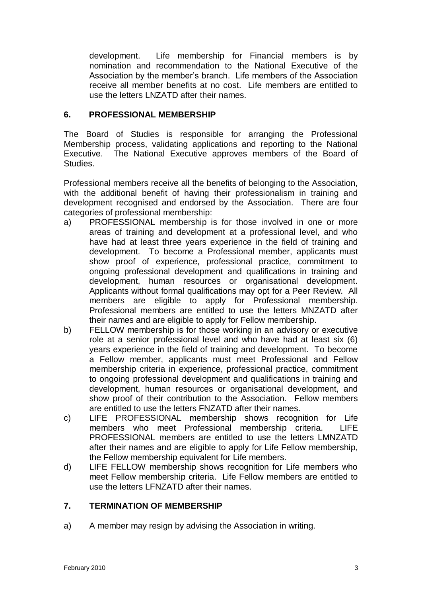development. Life membership for Financial members is by nomination and recommendation to the National Executive of the Association by the member's branch. Life members of the Association receive all member benefits at no cost. Life members are entitled to use the letters LNZATD after their names.

#### **6. PROFESSIONAL MEMBERSHIP**

The Board of Studies is responsible for arranging the Professional Membership process, validating applications and reporting to the National Executive. The National Executive approves members of the Board of Studies.

Professional members receive all the benefits of belonging to the Association, with the additional benefit of having their professionalism in training and development recognised and endorsed by the Association. There are four categories of professional membership:

- a) PROFESSIONAL membership is for those involved in one or more areas of training and development at a professional level, and who have had at least three years experience in the field of training and development. To become a Professional member, applicants must show proof of experience, professional practice, commitment to ongoing professional development and qualifications in training and development, human resources or organisational development. Applicants without formal qualifications may opt for a Peer Review. All members are eligible to apply for Professional membership. Professional members are entitled to use the letters MNZATD after their names and are eligible to apply for Fellow membership.
- b) FELLOW membership is for those working in an advisory or executive role at a senior professional level and who have had at least six (6) years experience in the field of training and development. To become a Fellow member, applicants must meet Professional and Fellow membership criteria in experience, professional practice, commitment to ongoing professional development and qualifications in training and development, human resources or organisational development, and show proof of their contribution to the Association. Fellow members are entitled to use the letters FNZATD after their names.
- c) LIFE PROFESSIONAL membership shows recognition for Life members who meet Professional membership criteria. LIFE PROFESSIONAL members are entitled to use the letters LMNZATD after their names and are eligible to apply for Life Fellow membership, the Fellow membership equivalent for Life members.
- d) LIFE FELLOW membership shows recognition for Life members who meet Fellow membership criteria. Life Fellow members are entitled to use the letters LFNZATD after their names.

### **7. TERMINATION OF MEMBERSHIP**

a) A member may resign by advising the Association in writing.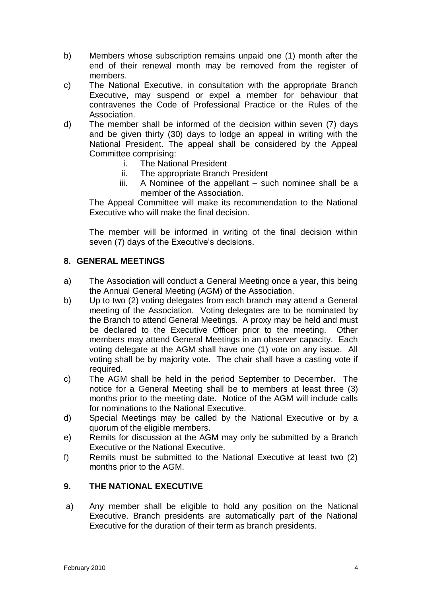- b) Members whose subscription remains unpaid one (1) month after the end of their renewal month may be removed from the register of members.
- c) The National Executive, in consultation with the appropriate Branch Executive, may suspend or expel a member for behaviour that contravenes the Code of Professional Practice or the Rules of the Association.
- d) The member shall be informed of the decision within seven (7) days and be given thirty (30) days to lodge an appeal in writing with the National President. The appeal shall be considered by the Appeal Committee comprising:
	- i. The National President
	- ii. The appropriate Branch President
	- iii. A Nominee of the appellant such nominee shall be a member of the Association.

The Appeal Committee will make its recommendation to the National Executive who will make the final decision.

The member will be informed in writing of the final decision within seven (7) days of the Executive's decisions.

#### **8. GENERAL MEETINGS**

- a) The Association will conduct a General Meeting once a year, this being the Annual General Meeting (AGM) of the Association.
- b) Up to two (2) voting delegates from each branch may attend a General meeting of the Association. Voting delegates are to be nominated by the Branch to attend General Meetings. A proxy may be held and must be declared to the Executive Officer prior to the meeting. Other members may attend General Meetings in an observer capacity. Each voting delegate at the AGM shall have one (1) vote on any issue. All voting shall be by majority vote. The chair shall have a casting vote if required.
- c) The AGM shall be held in the period September to December. The notice for a General Meeting shall be to members at least three (3) months prior to the meeting date. Notice of the AGM will include calls for nominations to the National Executive.
- d) Special Meetings may be called by the National Executive or by a quorum of the eligible members.
- e) Remits for discussion at the AGM may only be submitted by a Branch Executive or the National Executive.
- f) Remits must be submitted to the National Executive at least two (2) months prior to the AGM.

### **9. THE NATIONAL EXECUTIVE**

a) Any member shall be eligible to hold any position on the National Executive. Branch presidents are automatically part of the National Executive for the duration of their term as branch presidents.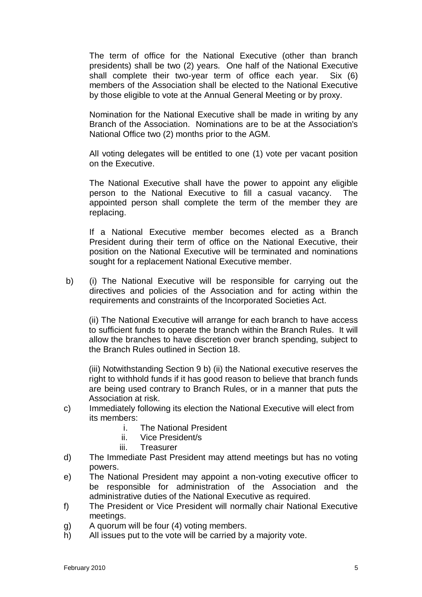The term of office for the National Executive (other than branch presidents) shall be two (2) years. One half of the National Executive shall complete their two-year term of office each year. Six (6) members of the Association shall be elected to the National Executive by those eligible to vote at the Annual General Meeting or by proxy.

Nomination for the National Executive shall be made in writing by any Branch of the Association. Nominations are to be at the Association's National Office two (2) months prior to the AGM.

All voting delegates will be entitled to one (1) vote per vacant position on the Executive.

The National Executive shall have the power to appoint any eligible person to the National Executive to fill a casual vacancy. The appointed person shall complete the term of the member they are replacing.

If a National Executive member becomes elected as a Branch President during their term of office on the National Executive, their position on the National Executive will be terminated and nominations sought for a replacement National Executive member.

b) (i) The National Executive will be responsible for carrying out the directives and policies of the Association and for acting within the requirements and constraints of the Incorporated Societies Act*.*

(ii) The National Executive will arrange for each branch to have access to sufficient funds to operate the branch within the Branch Rules. It will allow the branches to have discretion over branch spending, subject to the Branch Rules outlined in Section 18.

(iii) Notwithstanding Section 9 b) (ii) the National executive reserves the right to withhold funds if it has good reason to believe that branch funds are being used contrary to Branch Rules, or in a manner that puts the Association at risk.

- c) Immediately following its election the National Executive will elect from its members:
	- i. The National President
	- ii. Vice President/s
	- iii. Treasurer
- d) The Immediate Past President may attend meetings but has no voting powers.
- e) The National President may appoint a non-voting executive officer to be responsible for administration of the Association and the administrative duties of the National Executive as required.
- f) The President or Vice President will normally chair National Executive meetings.
- g) A quorum will be four (4) voting members.
- h) All issues put to the vote will be carried by a majority vote.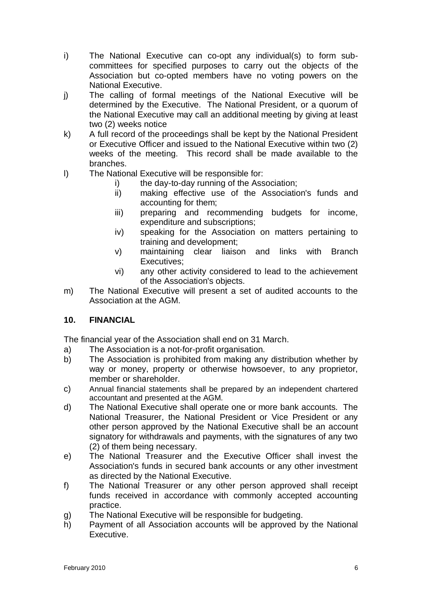- i) The National Executive can co-opt any individual(s) to form subcommittees for specified purposes to carry out the object*s* of the Association but co-opted members have no voting powers on the National Executive.
- j) The calling of formal meetings of the National Executive will be determined by the Executive. The National President, or a quorum of the National Executive may call an additional meeting by giving at least two (2) weeks notice
- k) A full record of the proceedings shall be kept by the National President or Executive Officer and issued to the National Executive within two (2) weeks of the meeting. This record shall be made available to the branches.
- l) The National Executive will be responsible for:
	- i) the day-to-day running of the Association;
	- ii) making effective use of the Association's funds and accounting for them;
	- iii) preparing and recommending budgets for income, expenditure and subscriptions;
	- iv) speaking for the Association on matters pertaining to training and development;
	- v) maintaining clear liaison and links with Branch Executives:
	- vi) any other activity considered to lead to the achievement of the Association's objects.
- m) The National Executive will present a set of audited accounts to the Association at the AGM.

### **10. FINANCIAL**

The financial year of the Association shall end on 31 March.

- a) The Association is a not-for-profit organisation.
- b) The Association is prohibited from making any distribution whether by way or money, property or otherwise howsoever, to any proprietor, member or shareholder.
- c) Annual financial statements shall be prepared by an independent chartered accountant and presented at the AGM.
- d) The National Executive shall operate one or more bank accounts. The National Treasurer, the National President or Vice President or any other person approved by the National Executive shall be an account signatory for withdrawals and payments, with the signatures of any two (2) of them being necessary.
- e) The National Treasurer and the Executive Officer shall invest the Association's funds in secured bank accounts or any other investment as directed by the National Executive.
- f) The National Treasurer or any other person approved shall receipt funds received in accordance with commonly accepted accounting practice.
- g) The National Executive will be responsible for budgeting.
- h) Payment of all Association accounts will be approved by the National Executive.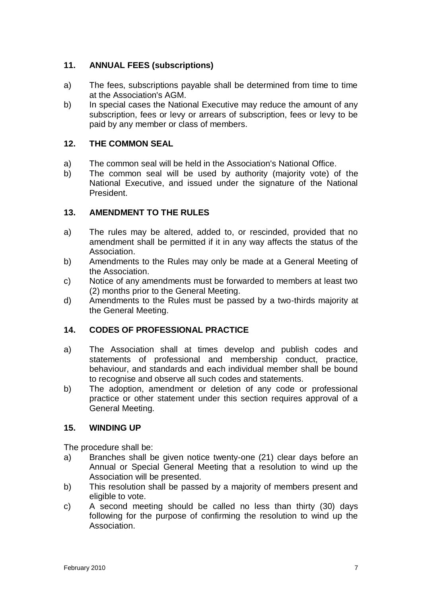## **11. ANNUAL FEES (subscriptions)**

- a) The fees, subscriptions payable shall be determined from time to time at the Association's AGM.
- b) In special cases the National Executive may reduce the amount of any subscription, fees or levy or arrears of subscription, fees or levy to be paid by any member or class of members.

## **12. THE COMMON SEAL**

- a) The common seal will be held in the Association's National Office.
- b) The common seal will be used by authority (majority vote) of the National Executive, and issued under the signature of the National President.

### **13. AMENDMENT TO THE RULES**

- a) The rules may be altered, added to, or rescinded, provided that no amendment shall be permitted if it in any way affects the status of the Association.
- b) Amendments to the Rules may only be made at a General Meeting of the Association.
- c) Notice of any amendments must be forwarded to members at least two (2) months prior to the General Meeting.
- d) Amendments to the Rules must be passed by a two-thirds majority at the General Meeting.

### **14. CODES OF PROFESSIONAL PRACTICE**

- a) The Association shall at times develop and publish codes and statements of professional and membership conduct, practice, behaviour, and standards and each individual member shall be bound to recognise and observe all such codes and statements.
- b) The adoption, amendment or deletion of any code or professional practice or other statement under this section requires approval of a General Meeting.

#### **15. WINDING UP**

The procedure shall be:

- a) Branches shall be given notice twenty-one (21) clear days before an Annual or Special General Meeting that a resolution to wind up the Association will be presented.
- b) This resolution shall be passed by a majority of members present and eligible to vote.
- c) A second meeting should be called no less than thirty (30) days following for the purpose of confirming the resolution to wind up the Association.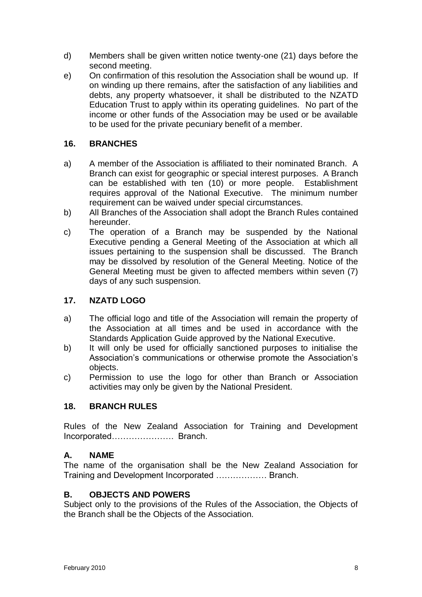- d) Members shall be given written notice twenty-one (21) days before the second meeting.
- e) On confirmation of this resolution the Association shall be wound up. If on winding up there remains, after the satisfaction of any liabilities and debts, any property whatsoever, it shall be distributed to the NZATD Education Trust to apply within its operating guidelines. No part of the income or other funds of the Association may be used or be available to be used for the private pecuniary benefit of a member.

## **16. BRANCHES**

- a) A member of the Association is affiliated to their nominated Branch. A Branch can exist for geographic or special interest purposes. A Branch can be established with ten (10) or more people. Establishment requires approval of the National Executive. The minimum number requirement can be waived under special circumstances.
- b) All Branches of the Association shall adopt the Branch Rules contained hereunder.
- c) The operation of a Branch may be suspended by the National Executive pending a General Meeting of the Association at which all issues pertaining to the suspension shall be discussed. The Branch may be dissolved by resolution of the General Meeting. Notice of the General Meeting must be given to affected members within seven (7) days of any such suspension.

### **17. NZATD LOGO**

- a) The official logo and title of the Association will remain the property of the Association at all times and be used in accordance with the Standards Application Guide approved by the National Executive.
- b) It will only be used for officially sanctioned purposes to initialise the Association's communications or otherwise promote the Association's objects.
- c) Permission to use the logo for other than Branch or Association activities may only be given by the National President.

#### **18. BRANCH RULES**

Rules of the New Zealand Association for Training and Development Incorporated…………………. Branch.

#### **A. NAME**

The name of the organisation shall be the New Zealand Association for Training and Development Incorporated ……………… Branch.

#### **B. OBJECTS AND POWERS**

Subject only to the provisions of the Rules of the Association, the Objects of the Branch shall be the Objects of the Association.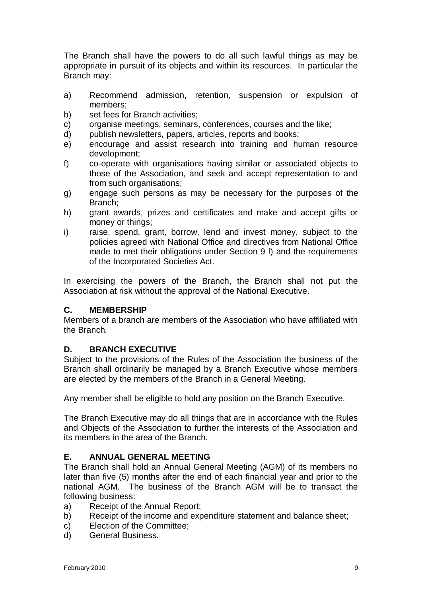The Branch shall have the powers to do all such lawful things as may be appropriate in pursuit of its objects and within its resources. In particular the Branch may:

- a) Recommend admission, retention, suspension or expulsion of members;
- b) set fees for Branch activities;
- c) organise meetings, seminars, conferences, courses and the like;
- d) publish newsletters*,* papers, articles, reports and books;
- e) encourage and assist research into training and human resource development;
- f) co-operate with organisations having similar or associated objects to those of the Association, and seek and accept representation to and from such organisations:
- g) engage such persons as may be necessary for the purpose*s* of the Branch;
- h) grant awards, prizes and certificates and make and accept gifts or money or things;
- i) raise, spend, grant, borrow, lend and invest money, subject to the policies agreed with National Office and directives from National Office made to met their obligations under Section 9 l) and the requirements of the Incorporated Societies Act.

In exercising the powers of the Branch, the Branch shall not put the Association at risk without the approval of the National Executive.

#### **C. MEMBERSHIP**

Members of a branch are members of the Association who have affiliated with the Branch*.*

### **D. BRANCH EXECUTIVE**

Subject to the provisions of the Rules of the Association the business of the Branch shall ordinarily be managed by a Branch Executive whose members are elected by the members of the Branch in a General Meeting.

Any member shall be eligible to hold any position on the Branch Executive.

The Branch Executive may do all things that are in accordance with the Rules and Objects of the Association to further the interests of the Association and its members in the area of the Branch.

#### **E. ANNUAL GENERAL MEETING**

The Branch shall hold an Annual General Meeting (AGM) of its members no later than five (5) months after the end of each financial year and prior to the national AGM. The business of the Branch AGM will be to transact the following business:

- a) Receipt of the Annual Report;
- b) Receipt of the income and expenditure statement and balance sheet;
- c) Election of the Committee;
- d) General Business.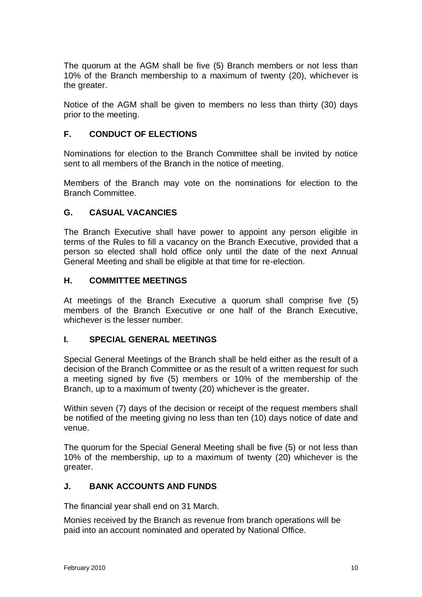The quorum at the AGM shall be five (5) Branch members or not less than 10% of the Branch membership to a maximum of twenty (20), whichever is the greater.

Notice of the AGM shall be given to members no less than thirty (30) days prior to the meeting.

### **F. CONDUCT OF ELECTIONS**

Nominations for election to the Branch Committee shall be invited by notice sent to all members of the Branch in the notice of meeting.

Members of the Branch may vote on the nominations for election to the Branch Committee.

#### **G. CASUAL VACANCIES**

The Branch Executive shall have power to appoint any person eligible in terms of the Rules to fill a vacancy on the Branch Executive, provided that a person so elected shall hold office only until the date of the next Annual General Meeting and shall be eligible at that time for re-election.

#### **H. COMMITTEE MEETINGS**

At meetings of the Branch Executive a quorum shall comprise five (5) members of the Branch Executive or one half of the Branch Executive, whichever is the lesser number.

### **I. SPECIAL GENERAL MEETINGS**

Special General Meetings of the Branch shall be held either as the result of a decision of the Branch Committee or as the result of a written request for such a meeting signed by five (5) members or 10% of the membership of the Branch, up to a maximum of twenty (20) whichever is the greater.

Within seven (7) days of the decision or receipt of the request members shall be notified of the meeting giving no less than ten (10) days notice of date and venue.

The quorum for the Special General Meeting shall be five (5) or not less than 10% of the membership, up to a maximum of twenty (20) whichever is the greater.

#### **J. BANK ACCOUNTS AND FUNDS**

The financial year shall end on 31 March.

Monies received by the Branch as revenue from branch operations will be paid into an account nominated and operated by National Office.